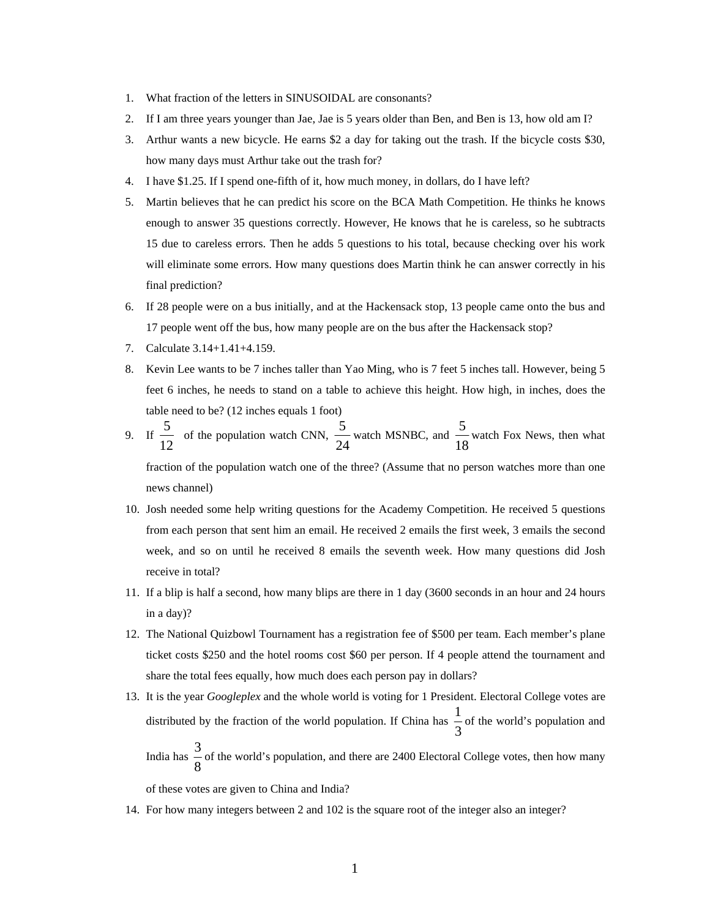- 1. What fraction of the letters in SINUSOIDAL are consonants?
- 2. If I am three years younger than Jae, Jae is 5 years older than Ben, and Ben is 13, how old am I?
- 3. Arthur wants a new bicycle. He earns \$2 a day for taking out the trash. If the bicycle costs \$30, how many days must Arthur take out the trash for?
- 4. I have \$1.25. If I spend one-fifth of it, how much money, in dollars, do I have left?
- 5. Martin believes that he can predict his score on the BCA Math Competition. He thinks he knows enough to answer 35 questions correctly. However, He knows that he is careless, so he subtracts 15 due to careless errors. Then he adds 5 questions to his total, because checking over his work will eliminate some errors. How many questions does Martin think he can answer correctly in his final prediction?
- 6. If 28 people were on a bus initially, and at the Hackensack stop, 13 people came onto the bus and 17 people went off the bus, how many people are on the bus after the Hackensack stop?
- 7. Calculate 3.14+1.41+4.159.
- 8. Kevin Lee wants to be 7 inches taller than Yao Ming, who is 7 feet 5 inches tall. However, being 5 feet 6 inches, he needs to stand on a table to achieve this height. How high, in inches, does the table need to be? (12 inches equals 1 foot)
- 9. If  $\frac{2}{12}$  $\frac{5}{2}$  of the population watch CNN, 24  $\frac{5}{24}$  watch MSNBC, and  $\frac{5}{18}$  $\frac{5}{2}$  watch Fox News, then what

fraction of the population watch one of the three? (Assume that no person watches more than one news channel)

- 10. Josh needed some help writing questions for the Academy Competition. He received 5 questions from each person that sent him an email. He received 2 emails the first week, 3 emails the second week, and so on until he received 8 emails the seventh week. How many questions did Josh receive in total?
- 11. If a blip is half a second, how many blips are there in 1 day (3600 seconds in an hour and 24 hours in a day)?
- 12. The National Quizbowl Tournament has a registration fee of \$500 per team. Each member's plane ticket costs \$250 and the hotel rooms cost \$60 per person. If 4 people attend the tournament and share the total fees equally, how much does each person pay in dollars?
- 13. It is the year *Googleplex* and the whole world is voting for 1 President. Electoral College votes are distributed by the fraction of the world population. If China has  $\frac{1}{3}$  $\frac{1}{2}$  of the world's population and

India has  $\frac{6}{8}$  $\frac{3}{5}$  of the world's population, and there are 2400 Electoral College votes, then how many

of these votes are given to China and India?

14. For how many integers between 2 and 102 is the square root of the integer also an integer?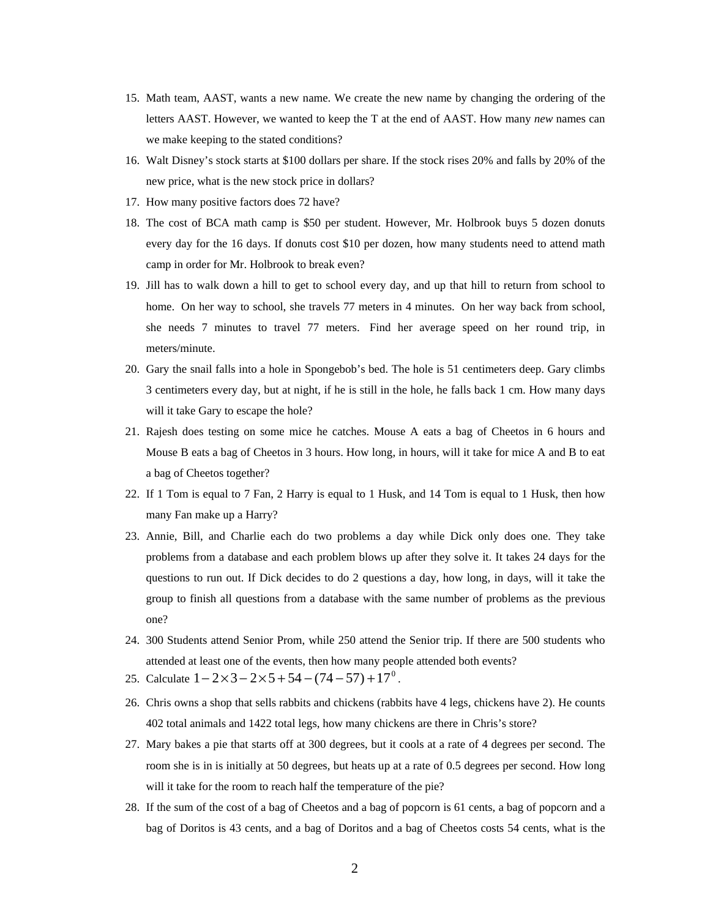- 15. Math team, AAST, wants a new name. We create the new name by changing the ordering of the letters AAST. However, we wanted to keep the T at the end of AAST. How many *new* names can we make keeping to the stated conditions?
- 16. Walt Disney's stock starts at \$100 dollars per share. If the stock rises 20% and falls by 20% of the new price, what is the new stock price in dollars?
- 17. How many positive factors does 72 have?
- 18. The cost of BCA math camp is \$50 per student. However, Mr. Holbrook buys 5 dozen donuts every day for the 16 days. If donuts cost \$10 per dozen, how many students need to attend math camp in order for Mr. Holbrook to break even?
- 19. Jill has to walk down a hill to get to school every day, and up that hill to return from school to home. On her way to school, she travels 77 meters in 4 minutes. On her way back from school, she needs 7 minutes to travel 77 meters. Find her average speed on her round trip, in meters/minute.
- 20. Gary the snail falls into a hole in Spongebob's bed. The hole is 51 centimeters deep. Gary climbs 3 centimeters every day, but at night, if he is still in the hole, he falls back 1 cm. How many days will it take Gary to escape the hole?
- 21. Rajesh does testing on some mice he catches. Mouse A eats a bag of Cheetos in 6 hours and Mouse B eats a bag of Cheetos in 3 hours. How long, in hours, will it take for mice A and B to eat a bag of Cheetos together?
- 22. If 1 Tom is equal to 7 Fan, 2 Harry is equal to 1 Husk, and 14 Tom is equal to 1 Husk, then how many Fan make up a Harry?
- 23. Annie, Bill, and Charlie each do two problems a day while Dick only does one. They take problems from a database and each problem blows up after they solve it. It takes 24 days for the questions to run out. If Dick decides to do 2 questions a day, how long, in days, will it take the group to finish all questions from a database with the same number of problems as the previous one?
- 24. 300 Students attend Senior Prom, while 250 attend the Senior trip. If there are 500 students who attended at least one of the events, then how many people attended both events?
- 25. Calculate  $1 2 \times 3 2 \times 5 + 54 (74 57) + 17^0$ .
- 26. Chris owns a shop that sells rabbits and chickens (rabbits have 4 legs, chickens have 2). He counts 402 total animals and 1422 total legs, how many chickens are there in Chris's store?
- 27. Mary bakes a pie that starts off at 300 degrees, but it cools at a rate of 4 degrees per second. The room she is in is initially at 50 degrees, but heats up at a rate of 0.5 degrees per second. How long will it take for the room to reach half the temperature of the pie?
- 28. If the sum of the cost of a bag of Cheetos and a bag of popcorn is 61 cents, a bag of popcorn and a bag of Doritos is 43 cents, and a bag of Doritos and a bag of Cheetos costs 54 cents, what is the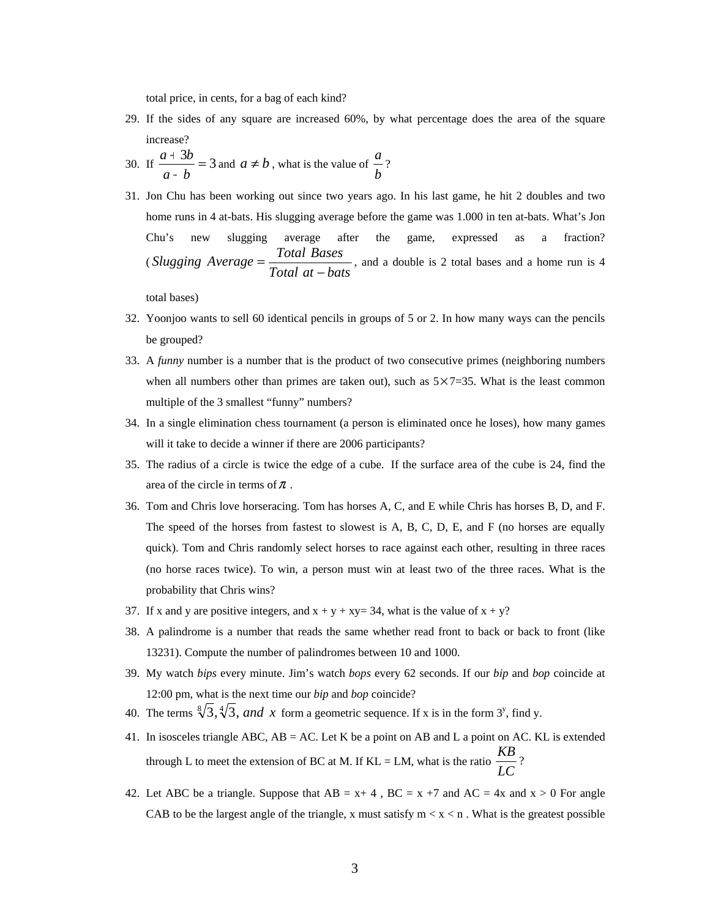total price, in cents, for a bag of each kind?

- 29. If the sides of any square are increased 60%, by what percentage does the area of the square increase?
- 30. If  $\frac{a+3b}{a-b} = 3$ *a b*  $\frac{a+3b}{b}$  = 3 and  $a \neq b$ , what is the value of *b*  $\frac{a}{2}$ ?
- 31. Jon Chu has been working out since two years ago. In his last game, he hit 2 doubles and two home runs in 4 at-bats. His slugging average before the game was 1.000 in ten at-bats. What's Jon Chu's new slugging average after the game, expressed as a fraction? (*Slugging*  $Average = \frac{Total \, Bases}{Total \, at - bats}$ , and a double is 2 total bases and a home run is 4

total bases)

- 32. Yoonjoo wants to sell 60 identical pencils in groups of 5 or 2. In how many ways can the pencils be grouped?
- 33. A *funny* number is a number that is the product of two consecutive primes (neighboring numbers when all numbers other than primes are taken out), such as  $5 \times 7 = 35$ . What is the least common multiple of the 3 smallest "funny" numbers?
- 34. In a single elimination chess tournament (a person is eliminated once he loses), how many games will it take to decide a winner if there are 2006 participants?
- 35. The radius of a circle is twice the edge of a cube. If the surface area of the cube is 24, find the area of the circle in terms of  $\pi$ .
- 36. Tom and Chris love horseracing. Tom has horses A, C, and E while Chris has horses B, D, and F. The speed of the horses from fastest to slowest is A, B, C, D, E, and F (no horses are equally quick). Tom and Chris randomly select horses to race against each other, resulting in three races (no horse races twice). To win, a person must win at least two of the three races. What is the probability that Chris wins?
- 37. If x and y are positive integers, and  $x + y + xy = 34$ , what is the value of  $x + y$ ?
- 38. A palindrome is a number that reads the same whether read front to back or back to front (like 13231). Compute the number of palindromes between 10 and 1000.
- 39. My watch *bips* every minute. Jim's watch *bops* every 62 seconds. If our *bip* and *bop* coincide at 12:00 pm, what is the next time our *bip* and *bop* coincide?
- 40. The terms  $\sqrt[8]{3}$ ,  $\sqrt[4]{3}$ , and x form a geometric sequence. If x is in the form 3<sup>y</sup>, find y.
- 41. In isosceles triangle ABC, AB = AC. Let K be a point on AB and L a point on AC. KL is extended through L to meet the extension of BC at M. If  $KL = LM$ , what is the ratio  $\frac{120}{LC}$  $\frac{KB}{\sqrt{2}}$ ?
- 42. Let ABC be a triangle. Suppose that  $AB = x + 4$ ,  $BC = x +7$  and  $AC = 4x$  and  $x > 0$  For angle CAB to be the largest angle of the triangle, x must satisfy  $m < x < n$ . What is the greatest possible